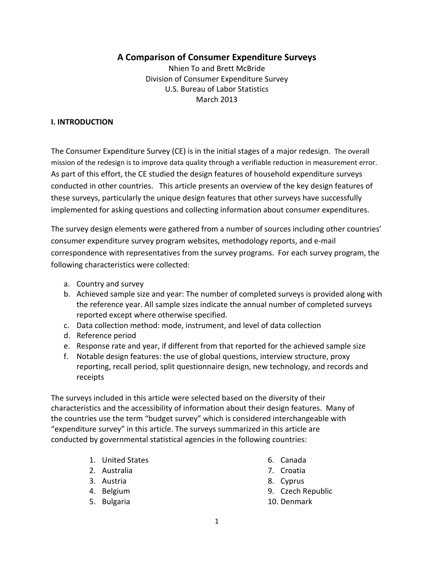# **A Comparison of Consumer Expenditure Surveys**

Nhien To and Brett McBride Division of Consumer Expenditure Survey U.S. Bureau of Labor Statistics March 2013

### **I. INTRODUCTION**

The Consumer Expenditure Survey (CE) is in the initial stages of a major redesign. The overall mission of the redesign is to improve data quality through a verifiable reduction in measurement error. As part of this effort, the CE studied the design features of household expenditure surveys conducted in other countries. This article presents an overview of the key design features of these surveys, particularly the unique design features that other surveys have successfully implemented for asking questions and collecting information about consumer expenditures.

The survey design elements were gathered from a number of sources including other countries' consumer expenditure survey program websites, methodology reports, and e‐mail correspondence with representatives from the survey programs. For each survey program, the following characteristics were collected:

- a. Country and survey
- b. Achieved sample size and year: The number of completed surveys is provided along with the reference year. All sample sizes indicate the annual number of completed surveys reported except where otherwise specified.
- c. Data collection method: mode, instrument, and level of data collection
- d. Reference period
- e. Response rate and year, if different from that reported for the achieved sample size
- f. Notable design features: the use of global questions, interview structure, proxy reporting, recall period, split questionnaire design, new technology, and records and receipts

The surveys included in this article were selected based on the diversity of their characteristics and the accessibility of information about their design features. Many of the countries use the term "budget survey" which is considered interchangeable with "expenditure survey" in this article. The surveys summarized in this article are conducted by governmental statistical agencies in the following countries:

- 1. United States
- 2. Australia
- 3. Austria
- 4. Belgium
- 5. Bulgaria
- 6. Canada
- 7. Croatia
- 8. Cyprus
- 9. Czech Republic
- 10. Denmark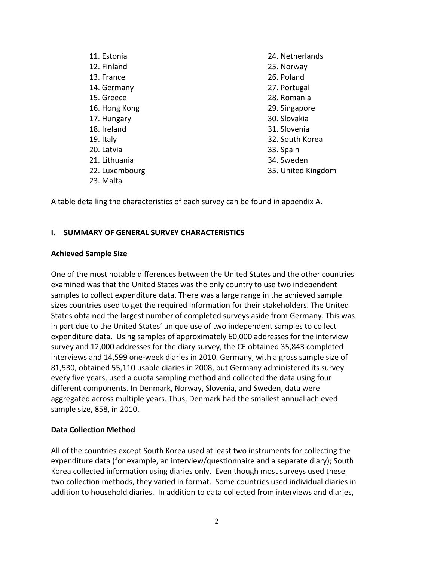| 24. Netherlands    |
|--------------------|
| 25. Norway         |
| 26. Poland         |
| 27. Portugal       |
| 28. Romania        |
| 29. Singapore      |
| 30. Slovakia       |
| 31. Slovenia       |
| 32. South Korea    |
| 33. Spain          |
| 34. Sweden         |
| 35. United Kingdom |
|                    |
|                    |

A table detailing the characteristics of each survey can be found in appendix A.

#### **I. SUMMARY OF GENERAL SURVEY CHARACTERISTICS**

#### **Achieved Sample Size**

One of the most notable differences between the United States and the other countries examined was that the United States was the only country to use two independent samples to collect expenditure data. There was a large range in the achieved sample sizes countries used to get the required information for their stakeholders. The United States obtained the largest number of completed surveys aside from Germany. This was in part due to the United States' unique use of two independent samples to collect expenditure data. Using samples of approximately 60,000 addresses for the interview survey and 12,000 addresses for the diary survey, the CE obtained 35,843 completed interviews and 14,599 one‐week diaries in 2010. Germany, with a gross sample size of 81,530, obtained 55,110 usable diaries in 2008, but Germany administered its survey every five years, used a quota sampling method and collected the data using four different components. In Denmark, Norway, Slovenia, and Sweden, data were aggregated across multiple years. Thus, Denmark had the smallest annual achieved sample size, 858, in 2010.

#### **Data Collection Method**

All of the countries except South Korea used at least two instruments for collecting the expenditure data (for example, an interview/questionnaire and a separate diary); South Korea collected information using diaries only. Even though most surveys used these two collection methods, they varied in format. Some countries used individual diaries in addition to household diaries. In addition to data collected from interviews and diaries,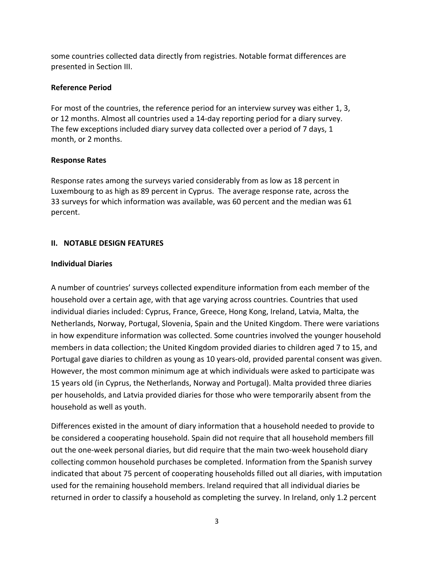some countries collected data directly from registries. Notable format differences are presented in Section III.

# **Reference Period**

For most of the countries, the reference period for an interview survey was either 1, 3, or 12 months. Almost all countries used a 14‐day reporting period for a diary survey. The few exceptions included diary survey data collected over a period of 7 days, 1 month, or 2 months.

# **Response Rates**

Response rates among the surveys varied considerably from as low as 18 percent in Luxembourg to as high as 89 percent in Cyprus. The average response rate, across the 33 surveys for which information was available, was 60 percent and the median was 61 percent.

# **II. NOTABLE DESIGN FEATURES**

# **Individual Diaries**

A number of countries' surveys collected expenditure information from each member of the household over a certain age, with that age varying across countries. Countries that used individual diaries included: Cyprus, France, Greece, Hong Kong, Ireland, Latvia, Malta, the Netherlands, Norway, Portugal, Slovenia, Spain and the United Kingdom. There were variations in how expenditure information was collected. Some countries involved the younger household members in data collection; the United Kingdom provided diaries to children aged 7 to 15, and Portugal gave diaries to children as young as 10 years‐old, provided parental consent was given. However, the most common minimum age at which individuals were asked to participate was 15 years old (in Cyprus, the Netherlands, Norway and Portugal). Malta provided three diaries per households, and Latvia provided diaries for those who were temporarily absent from the household as well as youth.

Differences existed in the amount of diary information that a household needed to provide to be considered a cooperating household. Spain did not require that all household members fill out the one-week personal diaries, but did require that the main two-week household diary collecting common household purchases be completed. Information from the Spanish survey indicated that about 75 percent of cooperating households filled out all diaries, with imputation used for the remaining household members. Ireland required that all individual diaries be returned in order to classify a household as completing the survey. In Ireland, only 1.2 percent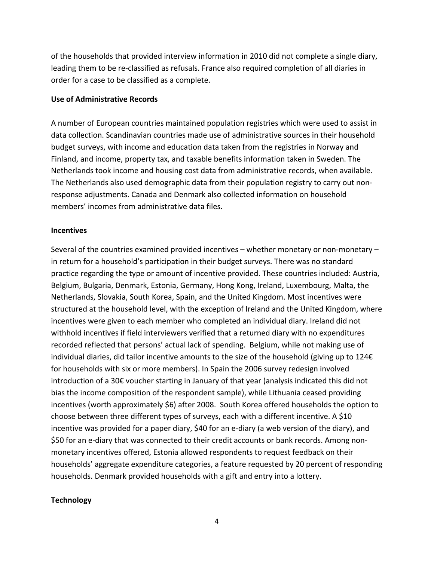of the households that provided interview information in 2010 did not complete a single diary, leading them to be re‐classified as refusals. France also required completion of all diaries in order for a case to be classified as a complete.

#### **Use of Administrative Records**

A number of European countries maintained population registries which were used to assist in data collection. Scandinavian countries made use of administrative sources in their household budget surveys, with income and education data taken from the registries in Norway and Finland, and income, property tax, and taxable benefits information taken in Sweden. The Netherlands took income and housing cost data from administrative records, when available. The Netherlands also used demographic data from their population registry to carry out non‐ response adjustments. Canada and Denmark also collected information on household members' incomes from administrative data files.

#### **Incentives**

Several of the countries examined provided incentives – whether monetary or non‐monetary – in return for a household's participation in their budget surveys. There was no standard practice regarding the type or amount of incentive provided. These countries included: Austria, Belgium, Bulgaria, Denmark, Estonia, Germany, Hong Kong, Ireland, Luxembourg, Malta, the Netherlands, Slovakia, South Korea, Spain, and the United Kingdom. Most incentives were structured at the household level, with the exception of Ireland and the United Kingdom, where incentives were given to each member who completed an individual diary. Ireland did not withhold incentives if field interviewers verified that a returned diary with no expenditures recorded reflected that persons' actual lack of spending. Belgium, while not making use of individual diaries, did tailor incentive amounts to the size of the household (giving up to 124€ for households with six or more members). In Spain the 2006 survey redesign involved introduction of a 30€ voucher starting in January of that year (analysis indicated this did not bias the income composition of the respondent sample), while Lithuania ceased providing incentives (worth approximately \$6) after 2008. South Korea offered households the option to choose between three different types of surveys, each with a different incentive. A \$10 incentive was provided for a paper diary, \$40 for an e‐diary (a web version of the diary), and \$50 for an e-diary that was connected to their credit accounts or bank records. Among nonmonetary incentives offered, Estonia allowed respondents to request feedback on their households' aggregate expenditure categories, a feature requested by 20 percent of responding households. Denmark provided households with a gift and entry into a lottery.

### **Technology**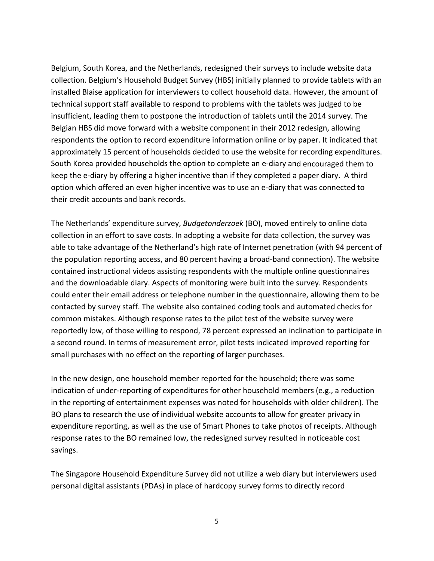Belgium, South Korea, and the Netherlands, redesigned their surveys to include website data collection. Belgium's Household Budget Survey (HBS) initially planned to provide tablets with an installed Blaise application for interviewers to collect household data. However, the amount of technical support staff available to respond to problems with the tablets was judged to be insufficient, leading them to postpone the introduction of tablets until the 2014 survey. The Belgian HBS did move forward with a website component in their 2012 redesign, allowing respondents the option to record expenditure information online or by paper. It indicated that approximately 15 percent of households decided to use the website for recording expenditures. South Korea provided households the option to complete an e‐diary and encouraged them to keep the e-diary by offering a higher incentive than if they completed a paper diary. A third option which offered an even higher incentive was to use an e‐diary that was connected to their credit accounts and bank records.

The Netherlands' expenditure survey, *Budgetonderzoek* (BO), moved entirely to online data collection in an effort to save costs. In adopting a website for data collection, the survey was able to take advantage of the Netherland's high rate of Internet penetration (with 94 percent of the population reporting access, and 80 percent having a broad‐band connection). The website contained instructional videos assisting respondents with the multiple online questionnaires and the downloadable diary. Aspects of monitoring were built into the survey. Respondents could enter their email address or telephone number in the questionnaire, allowing them to be contacted by survey staff. The website also contained coding tools and automated checks for common mistakes. Although response rates to the pilot test of the website survey were reportedly low, of those willing to respond, 78 percent expressed an inclination to participate in a second round. In terms of measurement error, pilot tests indicated improved reporting for small purchases with no effect on the reporting of larger purchases.

In the new design, one household member reported for the household; there was some indication of under-reporting of expenditures for other household members (e.g., a reduction in the reporting of entertainment expenses was noted for households with older children). The BO plans to research the use of individual website accounts to allow for greater privacy in expenditure reporting, as well as the use of Smart Phones to take photos of receipts. Although response rates to the BO remained low, the redesigned survey resulted in noticeable cost savings.

The Singapore Household Expenditure Survey did not utilize a web diary but interviewers used personal digital assistants (PDAs) in place of hardcopy survey forms to directly record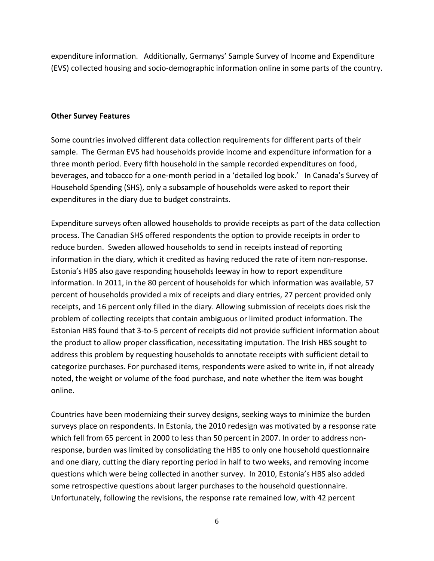expenditure information. Additionally, Germanys' Sample Survey of Income and Expenditure (EVS) collected housing and socio‐demographic information online in some parts of the country.

#### **Other Survey Features**

Some countries involved different data collection requirements for different parts of their sample. The German EVS had households provide income and expenditure information for a three month period. Every fifth household in the sample recorded expenditures on food, beverages, and tobacco for a one‐month period in a 'detailed log book.' In Canada's Survey of Household Spending (SHS), only a subsample of households were asked to report their expenditures in the diary due to budget constraints.

Expenditure surveys often allowed households to provide receipts as part of the data collection process. The Canadian SHS offered respondents the option to provide receipts in order to reduce burden. Sweden allowed households to send in receipts instead of reporting information in the diary, which it credited as having reduced the rate of item non‐response. Estonia's HBS also gave responding households leeway in how to report expenditure information. In 2011, in the 80 percent of households for which information was available, 57 percent of households provided a mix of receipts and diary entries, 27 percent provided only receipts, and 16 percent only filled in the diary. Allowing submission of receipts does risk the problem of collecting receipts that contain ambiguous or limited product information. The Estonian HBS found that 3‐to‐5 percent of receipts did not provide sufficient information about the product to allow proper classification, necessitating imputation. The Irish HBS sought to address this problem by requesting households to annotate receipts with sufficient detail to categorize purchases. For purchased items, respondents were asked to write in, if not already noted, the weight or volume of the food purchase, and note whether the item was bought online.

Countries have been modernizing their survey designs, seeking ways to minimize the burden surveys place on respondents. In Estonia, the 2010 redesign was motivated by a response rate which fell from 65 percent in 2000 to less than 50 percent in 2007. In order to address nonresponse, burden was limited by consolidating the HBS to only one household questionnaire and one diary, cutting the diary reporting period in half to two weeks, and removing income questions which were being collected in another survey. In 2010, Estonia's HBS also added some retrospective questions about larger purchases to the household questionnaire. Unfortunately, following the revisions, the response rate remained low, with 42 percent

<sup>6</sup>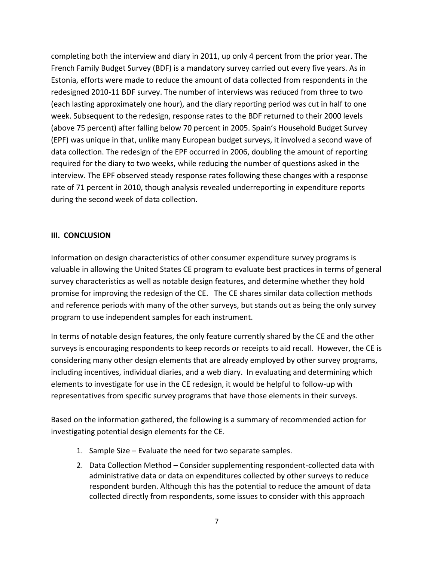completing both the interview and diary in 2011, up only 4 percent from the prior year. The French Family Budget Survey (BDF) is a mandatory survey carried out every five years. As in Estonia, efforts were made to reduce the amount of data collected from respondents in the redesigned 2010‐11 BDF survey. The number of interviews was reduced from three to two (each lasting approximately one hour), and the diary reporting period was cut in half to one week. Subsequent to the redesign, response rates to the BDF returned to their 2000 levels (above 75 percent) after falling below 70 percent in 2005. Spain's Household Budget Survey (EPF) was unique in that, unlike many European budget surveys, it involved a second wave of data collection. The redesign of the EPF occurred in 2006, doubling the amount of reporting required for the diary to two weeks, while reducing the number of questions asked in the interview. The EPF observed steady response rates following these changes with a response rate of 71 percent in 2010, though analysis revealed underreporting in expenditure reports during the second week of data collection.

### **III. CONCLUSION**

Information on design characteristics of other consumer expenditure survey programs is valuable in allowing the United States CE program to evaluate best practices in terms of general survey characteristics as well as notable design features, and determine whether they hold promise for improving the redesign of the CE. The CE shares similar data collection methods and reference periods with many of the other surveys, but stands out as being the only survey program to use independent samples for each instrument.

In terms of notable design features, the only feature currently shared by the CE and the other surveys is encouraging respondents to keep records or receipts to aid recall. However, the CE is considering many other design elements that are already employed by other survey programs, including incentives, individual diaries, and a web diary. In evaluating and determining which elements to investigate for use in the CE redesign, it would be helpful to follow‐up with representatives from specific survey programs that have those elements in their surveys.

Based on the information gathered, the following is a summary of recommended action for investigating potential design elements for the CE.

- 1. Sample Size Evaluate the need for two separate samples.
- 2. Data Collection Method Consider supplementing respondent‐collected data with administrative data or data on expenditures collected by other surveys to reduce respondent burden. Although this has the potential to reduce the amount of data collected directly from respondents, some issues to consider with this approach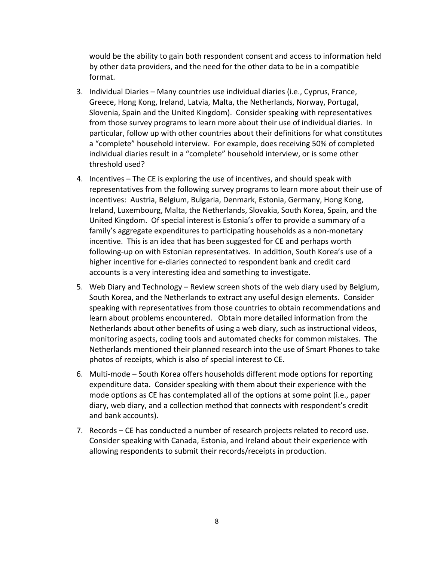would be the ability to gain both respondent consent and access to information held by other data providers, and the need for the other data to be in a compatible format.

- 3. Individual Diaries Many countries use individual diaries (i.e., Cyprus, France, Greece, Hong Kong, Ireland, Latvia, Malta, the Netherlands, Norway, Portugal, Slovenia, Spain and the United Kingdom). Consider speaking with representatives from those survey programs to learn more about their use of individual diaries. In particular, follow up with other countries about their definitions for what constitutes a "complete" household interview. For example, does receiving 50% of completed individual diaries result in a "complete" household interview, or is some other threshold used?
- 4. Incentives The CE is exploring the use of incentives, and should speak with representatives from the following survey programs to learn more about their use of incentives: Austria, Belgium, Bulgaria, Denmark, Estonia, Germany, Hong Kong, Ireland, Luxembourg, Malta, the Netherlands, Slovakia, South Korea, Spain, and the United Kingdom. Of special interest is Estonia's offer to provide a summary of a family's aggregate expenditures to participating households as a non-monetary incentive. This is an idea that has been suggested for CE and perhaps worth following‐up on with Estonian representatives. In addition, South Korea's use of a higher incentive for e-diaries connected to respondent bank and credit card accounts is a very interesting idea and something to investigate.
- 5. Web Diary and Technology Review screen shots of the web diary used by Belgium, South Korea, and the Netherlands to extract any useful design elements. Consider speaking with representatives from those countries to obtain recommendations and learn about problems encountered. Obtain more detailed information from the Netherlands about other benefits of using a web diary, such as instructional videos, monitoring aspects, coding tools and automated checks for common mistakes. The Netherlands mentioned their planned research into the use of Smart Phones to take photos of receipts, which is also of special interest to CE.
- 6. Multi‐mode South Korea offers households different mode options for reporting expenditure data. Consider speaking with them about their experience with the mode options as CE has contemplated all of the options at some point (i.e., paper diary, web diary, and a collection method that connects with respondent's credit and bank accounts).
- 7. Records CE has conducted a number of research projects related to record use. Consider speaking with Canada, Estonia, and Ireland about their experience with allowing respondents to submit their records/receipts in production.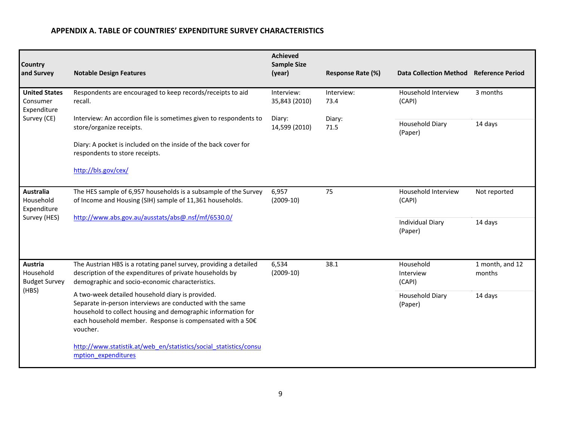#### **APPENDIX A. TABLE OF COUNTRIES' EXPENDITURE SURVEY CHARACTERISTICS**

| Country<br>and Survey                           | <b>Notable Design Features</b>                                                                                                                                                                                                                         | <b>Achieved</b><br><b>Sample Size</b><br>(year) | <b>Response Rate (%)</b> | Data Collection Method Reference Period |                                  |                           |
|-------------------------------------------------|--------------------------------------------------------------------------------------------------------------------------------------------------------------------------------------------------------------------------------------------------------|-------------------------------------------------|--------------------------|-----------------------------------------|----------------------------------|---------------------------|
| <b>United States</b><br>Consumer<br>Expenditure | Respondents are encouraged to keep records/receipts to aid<br>recall.                                                                                                                                                                                  | Interview:<br>35,843 (2010)                     | Interview:<br>73.4       | Household Interview<br>(CAPI)           | 3 months                         |                           |
| Survey (CE)                                     | Interview: An accordion file is sometimes given to respondents to<br>store/organize receipts.                                                                                                                                                          | Diary:<br>14,599 (2010)                         | Diary:<br>71.5           | Household Diary<br>(Paper)              | 14 days                          |                           |
|                                                 | Diary: A pocket is included on the inside of the back cover for<br>respondents to store receipts.                                                                                                                                                      |                                                 |                          |                                         |                                  |                           |
|                                                 | http://bls.gov/cex/                                                                                                                                                                                                                                    |                                                 |                          |                                         |                                  |                           |
| <b>Australia</b><br>Household<br>Expenditure    | The HES sample of 6,957 households is a subsample of the Survey<br>of Income and Housing (SIH) sample of 11,361 households.                                                                                                                            | 6,957<br>$(2009-10)$                            | 75                       | Household Interview<br>(CAPI)           | Not reported                     |                           |
| Survey (HES)                                    | http://www.abs.gov.au/ausstats/abs@.nsf/mf/6530.0/                                                                                                                                                                                                     |                                                 |                          | <b>Individual Diary</b><br>(Paper)      | 14 days                          |                           |
|                                                 |                                                                                                                                                                                                                                                        |                                                 |                          |                                         |                                  |                           |
| Austria<br>Household<br><b>Budget Survey</b>    | The Austrian HBS is a rotating panel survey, providing a detailed<br>description of the expenditures of private households by<br>demographic and socio-economic characteristics.                                                                       | 6,534<br>$(2009-10)$                            |                          | 38.1                                    | Household<br>Interview<br>(CAPI) | 1 month, and 12<br>months |
| (HBS)                                           | A two-week detailed household diary is provided.<br>Separate in-person interviews are conducted with the same<br>household to collect housing and demographic information for<br>each household member. Response is compensated with a 50€<br>voucher. |                                                 |                          | <b>Household Diary</b><br>(Paper)       | 14 days                          |                           |
|                                                 | http://www.statistik.at/web en/statistics/social statistics/consu<br>mption expenditures                                                                                                                                                               |                                                 |                          |                                         |                                  |                           |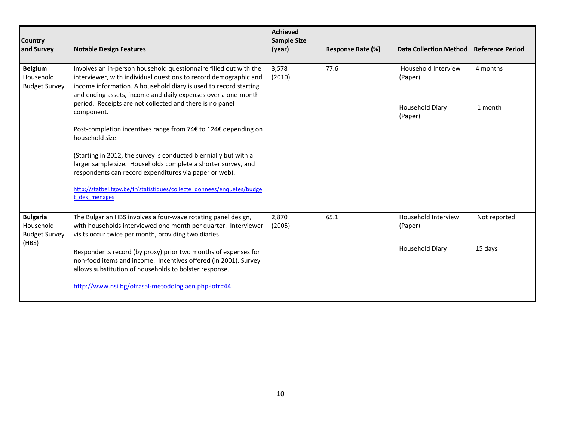| Country<br>and Survey                                | <b>Notable Design Features</b>                                                                                                                                                                                                                                                                                                                       | <b>Achieved</b><br><b>Sample Size</b><br>(year) | Response Rate (%) | <b>Data Collection Method</b>  | <b>Reference Period</b> |
|------------------------------------------------------|------------------------------------------------------------------------------------------------------------------------------------------------------------------------------------------------------------------------------------------------------------------------------------------------------------------------------------------------------|-------------------------------------------------|-------------------|--------------------------------|-------------------------|
| <b>Belgium</b><br>Household<br><b>Budget Survey</b>  | Involves an in-person household questionnaire filled out with the<br>interviewer, with individual questions to record demographic and<br>income information. A household diary is used to record starting<br>and ending assets, income and daily expenses over a one-month<br>period. Receipts are not collected and there is no panel<br>component. | 3,578<br>(2010)                                 | 77.6              | Household Interview<br>(Paper) | 4 months                |
|                                                      |                                                                                                                                                                                                                                                                                                                                                      |                                                 |                   | Household Diary<br>(Paper)     | 1 month                 |
|                                                      | Post-completion incentives range from 74€ to 124€ depending on<br>household size.                                                                                                                                                                                                                                                                    |                                                 |                   |                                |                         |
|                                                      | (Starting in 2012, the survey is conducted biennially but with a<br>larger sample size. Households complete a shorter survey, and<br>respondents can record expenditures via paper or web).                                                                                                                                                          |                                                 |                   |                                |                         |
|                                                      | http://statbel.fgov.be/fr/statistiques/collecte donnees/enquetes/budge<br>t des menages                                                                                                                                                                                                                                                              |                                                 |                   |                                |                         |
| <b>Bulgaria</b><br>Household<br><b>Budget Survey</b> | The Bulgarian HBS involves a four-wave rotating panel design,<br>with households interviewed one month per quarter. Interviewer<br>visits occur twice per month, providing two diaries.                                                                                                                                                              | 2,870<br>(2005)                                 | 65.1              | Household Interview<br>(Paper) | Not reported            |
| (HBS)                                                | Respondents record (by proxy) prior two months of expenses for<br>non-food items and income. Incentives offered (in 2001). Survey<br>allows substitution of households to bolster response.                                                                                                                                                          |                                                 |                   | Household Diary                | 15 days                 |
|                                                      | http://www.nsi.bg/otrasal-metodologiaen.php?otr=44                                                                                                                                                                                                                                                                                                   |                                                 |                   |                                |                         |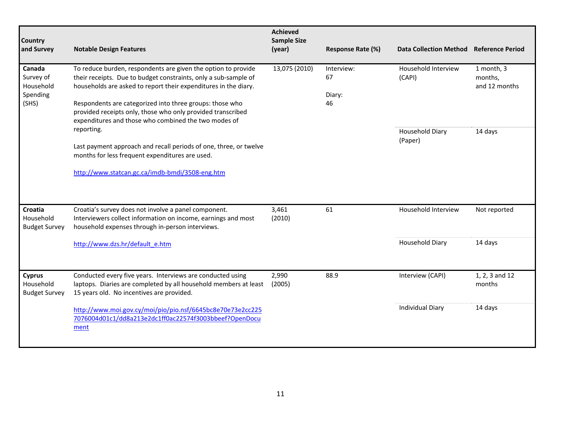| Country<br>and Survey                                 | <b>Notable Design Features</b>                                                                                                                                                                                                                                                                                                                                                         | <b>Achieved</b><br><b>Sample Size</b><br>(year) | Response Rate (%)   | <b>Data Collection Method</b> | <b>Reference Period</b>  |                               |                                        |
|-------------------------------------------------------|----------------------------------------------------------------------------------------------------------------------------------------------------------------------------------------------------------------------------------------------------------------------------------------------------------------------------------------------------------------------------------------|-------------------------------------------------|---------------------|-------------------------------|--------------------------|-------------------------------|----------------------------------------|
| Canada<br>Survey of<br>Household<br>Spending<br>(SHS) | To reduce burden, respondents are given the option to provide<br>their receipts. Due to budget constraints, only a sub-sample of<br>households are asked to report their expenditures in the diary.<br>Respondents are categorized into three groups: those who<br>provided receipts only, those who only provided transcribed<br>expenditures and those who combined the two modes of | 13,075 (2010)                                   |                     | 67<br>Diary:<br>46            | Interview:               | Household Interview<br>(CAPI) | 1 month, 3<br>months,<br>and 12 months |
|                                                       | reporting.<br>Last payment approach and recall periods of one, three, or twelve<br>months for less frequent expenditures are used.<br>http://www.statcan.gc.ca/imdb-bmdi/3508-eng.htm                                                                                                                                                                                                  |                                                 |                     | Household Diary<br>(Paper)    | 14 days                  |                               |                                        |
| Croatia<br>Household<br><b>Budget Survey</b>          | Croatia's survey does not involve a panel component.<br>Interviewers collect information on income, earnings and most<br>household expenses through in-person interviews.                                                                                                                                                                                                              | 61<br>3,461<br>(2010)                           | Household Interview | Not reported                  |                          |                               |                                        |
|                                                       | http://www.dzs.hr/default e.htm                                                                                                                                                                                                                                                                                                                                                        |                                                 |                     | <b>Household Diary</b>        | 14 days                  |                               |                                        |
| <b>Cyprus</b><br>Household<br><b>Budget Survey</b>    | Conducted every five years. Interviews are conducted using<br>laptops. Diaries are completed by all household members at least<br>15 years old. No incentives are provided.                                                                                                                                                                                                            | 2,990<br>(2005)                                 | 88.9                | Interview (CAPI)              | 1, 2, 3 and 12<br>months |                               |                                        |
|                                                       | http://www.moi.gov.cy/moi/pio/pio.nsf/6645bc8e70e73e2cc225<br>7076004d01c1/dd8a213e2dc1ff0ac22574f3003bbeef?OpenDocu<br>ment                                                                                                                                                                                                                                                           |                                                 |                     | <b>Individual Diary</b>       | 14 days                  |                               |                                        |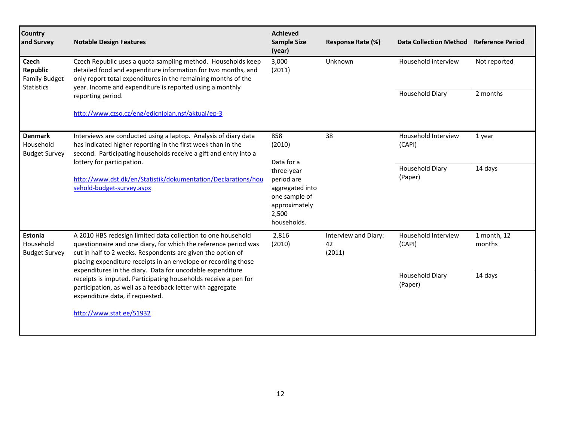| <b>Country</b><br>and Survey                                          | <b>Notable Design Features</b>                                                                                                                                                                                                                                                                                                                                                                                                                                                                    | <b>Achieved</b><br><b>Sample Size</b><br>(year)                                                       | <b>Response Rate (%)</b>             | <b>Data Collection Method</b>     | <b>Reference Period</b> |
|-----------------------------------------------------------------------|---------------------------------------------------------------------------------------------------------------------------------------------------------------------------------------------------------------------------------------------------------------------------------------------------------------------------------------------------------------------------------------------------------------------------------------------------------------------------------------------------|-------------------------------------------------------------------------------------------------------|--------------------------------------|-----------------------------------|-------------------------|
| <b>Czech</b><br>Republic<br><b>Family Budget</b><br><b>Statistics</b> | Czech Republic uses a quota sampling method. Households keep<br>detailed food and expenditure information for two months, and<br>only report total expenditures in the remaining months of the<br>year. Income and expenditure is reported using a monthly                                                                                                                                                                                                                                        | 3,000<br>(2011)                                                                                       | Unknown                              | Household interview               | Not reported            |
|                                                                       | reporting period.                                                                                                                                                                                                                                                                                                                                                                                                                                                                                 |                                                                                                       |                                      | Household Diary                   | 2 months                |
|                                                                       | http://www.czso.cz/eng/edicniplan.nsf/aktual/ep-3                                                                                                                                                                                                                                                                                                                                                                                                                                                 |                                                                                                       |                                      |                                   |                         |
| <b>Denmark</b><br>Household<br><b>Budget Survey</b>                   | Interviews are conducted using a laptop. Analysis of diary data<br>has indicated higher reporting in the first week than in the<br>second. Participating households receive a gift and entry into a<br>lottery for participation.                                                                                                                                                                                                                                                                 | 858<br>(2010)<br>Data for a                                                                           | 38                                   | Household Interview<br>(CAPI)     | 1 year                  |
|                                                                       | http://www.dst.dk/en/Statistik/dokumentation/Declarations/hou<br>sehold-budget-survey.aspx                                                                                                                                                                                                                                                                                                                                                                                                        | three-year<br>period are<br>aggregated into<br>one sample of<br>approximately<br>2,500<br>households. |                                      | Household Diary<br>(Paper)        | 14 days                 |
| <b>Estonia</b><br>Household<br><b>Budget Survey</b>                   | A 2010 HBS redesign limited data collection to one household<br>questionnaire and one diary, for which the reference period was<br>cut in half to 2 weeks. Respondents are given the option of<br>placing expenditure receipts in an envelope or recording those<br>expenditures in the diary. Data for uncodable expenditure<br>receipts is imputed. Participating households receive a pen for<br>participation, as well as a feedback letter with aggregate<br>expenditure data, if requested. | 2,816<br>(2010)                                                                                       | Interview and Diary:<br>42<br>(2011) | Household Interview<br>(CAPI)     | 1 month, 12<br>months   |
|                                                                       |                                                                                                                                                                                                                                                                                                                                                                                                                                                                                                   |                                                                                                       |                                      | <b>Household Diary</b><br>(Paper) | 14 days                 |
|                                                                       | http://www.stat.ee/51932                                                                                                                                                                                                                                                                                                                                                                                                                                                                          |                                                                                                       |                                      |                                   |                         |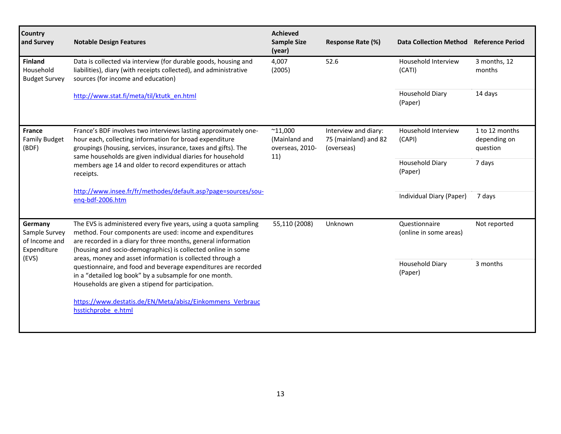| Country<br>and Survey                                    | <b>Notable Design Features</b>                                                                                                                                                                                                                                                                                                                                                                                                                                                                               | <b>Achieved</b><br><b>Sample Size</b><br>(year)             | Response Rate (%)                                          | <b>Data Collection Method</b>           | <b>Reference Period</b>                    |
|----------------------------------------------------------|--------------------------------------------------------------------------------------------------------------------------------------------------------------------------------------------------------------------------------------------------------------------------------------------------------------------------------------------------------------------------------------------------------------------------------------------------------------------------------------------------------------|-------------------------------------------------------------|------------------------------------------------------------|-----------------------------------------|--------------------------------------------|
| <b>Finland</b><br>Household<br><b>Budget Survey</b>      | Data is collected via interview (for durable goods, housing and<br>liabilities), diary (with receipts collected), and administrative<br>sources (for income and education)                                                                                                                                                                                                                                                                                                                                   | 4,007<br>(2005)                                             | 52.6                                                       | Household Interview<br>(CATI)           | 3 months, 12<br>months                     |
|                                                          | http://www.stat.fi/meta/til/ktutk_en.html                                                                                                                                                                                                                                                                                                                                                                                                                                                                    |                                                             |                                                            | <b>Household Diary</b><br>(Paper)       | 14 days                                    |
| <b>France</b><br><b>Family Budget</b><br>(BDF)           | France's BDF involves two interviews lasting approximately one-<br>hour each, collecting information for broad expenditure<br>groupings (housing, services, insurance, taxes and gifts). The<br>same households are given individual diaries for household<br>members age 14 and older to record expenditures or attach<br>receipts.                                                                                                                                                                         | $^{\sim}$ 11,000<br>(Mainland and<br>overseas, 2010-<br>11) | Interview and diary:<br>75 (mainland) and 82<br>(overseas) | Household Interview<br>(CAPI)           | 1 to 12 months<br>depending on<br>question |
|                                                          |                                                                                                                                                                                                                                                                                                                                                                                                                                                                                                              |                                                             |                                                            | <b>Household Diary</b><br>(Paper)       | 7 days                                     |
|                                                          | http://www.insee.fr/fr/methodes/default.asp?page=sources/sou-<br>eng-bdf-2006.htm                                                                                                                                                                                                                                                                                                                                                                                                                            |                                                             |                                                            | Individual Diary (Paper)                | 7 days                                     |
| Germany<br>Sample Survey<br>of Income and<br>Expenditure | The EVS is administered every five years, using a quota sampling<br>method. Four components are used: income and expenditures<br>are recorded in a diary for three months, general information<br>(housing and socio-demographics) is collected online in some<br>areas, money and asset information is collected through a<br>questionnaire, and food and beverage expenditures are recorded<br>in a "detailed log book" by a subsample for one month.<br>Households are given a stipend for participation. | 55,110 (2008)                                               | Unknown                                                    | Questionnaire<br>(online in some areas) | Not reported                               |
| (EVS)                                                    |                                                                                                                                                                                                                                                                                                                                                                                                                                                                                                              |                                                             |                                                            | <b>Household Diary</b><br>(Paper)       | 3 months                                   |
|                                                          | https://www.destatis.de/EN/Meta/abisz/Einkommens Verbrauc<br>hsstichprobe e.html                                                                                                                                                                                                                                                                                                                                                                                                                             |                                                             |                                                            |                                         |                                            |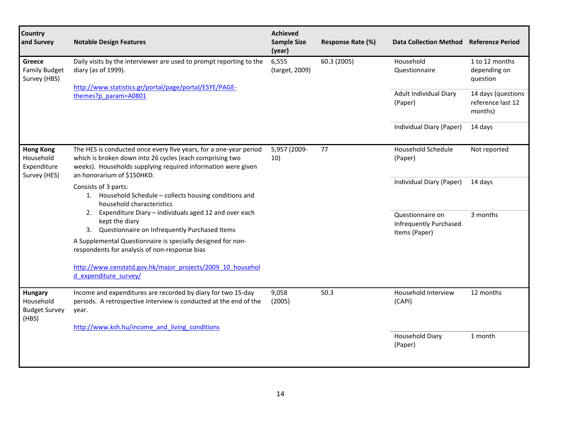| <b>Country</b><br>and Survey                                 | <b>Notable Design Features</b>                                                                                                                                                                                              | <b>Achieved</b><br><b>Sample Size</b><br>(year) | Response Rate (%) | Data Collection Method Reference Period                            |                                                    |
|--------------------------------------------------------------|-----------------------------------------------------------------------------------------------------------------------------------------------------------------------------------------------------------------------------|-------------------------------------------------|-------------------|--------------------------------------------------------------------|----------------------------------------------------|
| Greece<br><b>Family Budget</b><br>Survey (HBS)               | Daily visits by the interviewer are used to prompt reporting to the<br>diary (as of 1999).                                                                                                                                  | 6,555<br>(target, 2009)                         | 60.3 (2005)       | Household<br>Questionnaire                                         | 1 to 12 months<br>depending on<br>question         |
|                                                              | http://www.statistics.gr/portal/page/portal/ESYE/PAGE-<br>themes?p param=A0801                                                                                                                                              |                                                 |                   | Adult Individual Diary<br>(Paper)                                  | 14 days (questions<br>reference last 12<br>months) |
|                                                              |                                                                                                                                                                                                                             |                                                 |                   | Individual Diary (Paper)                                           | 14 days                                            |
| <b>Hong Kong</b><br>Household<br>Expenditure<br>Survey (HES) | The HES is conducted once every five years, for a one-year period<br>which is broken down into 26 cycles (each comprising two<br>weeks). Households supplying required information were given<br>an honorarium of \$150HKD. | 5,957 (2009-<br>10)                             | 77                | Household Schedule<br>(Paper)                                      | Not reported                                       |
|                                                              | Consists of 3 parts:<br>1. Household Schedule - collects housing conditions and<br>household characteristics                                                                                                                |                                                 |                   | Individual Diary (Paper)                                           | 14 days                                            |
|                                                              | Expenditure Diary - individuals aged 12 and over each<br>2.<br>kept the diary<br>3. Questionnaire on Infrequently Purchased Items                                                                                           |                                                 |                   | Questionnaire on<br><b>Infrequently Purchased</b><br>Items (Paper) | 3 months                                           |
|                                                              | A Supplemental Questionnaire is specially designed for non-<br>respondents for analysis of non-response bias                                                                                                                |                                                 |                   |                                                                    |                                                    |
|                                                              | http://www.censtatd.gov.hk/major_projects/2009_10_househol<br>d expenditure survey/                                                                                                                                         |                                                 |                   |                                                                    |                                                    |
| Hungary<br>Household<br><b>Budget Survey</b><br>(HBS)        | Income and expenditures are recorded by diary for two 15-day<br>periods. A retrospective interview is conducted at the end of the<br>year.                                                                                  | 9,058<br>(2005)                                 | 50.3              | Household Interview<br>(CAPI)                                      | 12 months                                          |
|                                                              | http://www.ksh.hu/income and living conditions                                                                                                                                                                              |                                                 |                   | Household Diary                                                    | 1 month                                            |
|                                                              |                                                                                                                                                                                                                             |                                                 |                   | (Paper)                                                            |                                                    |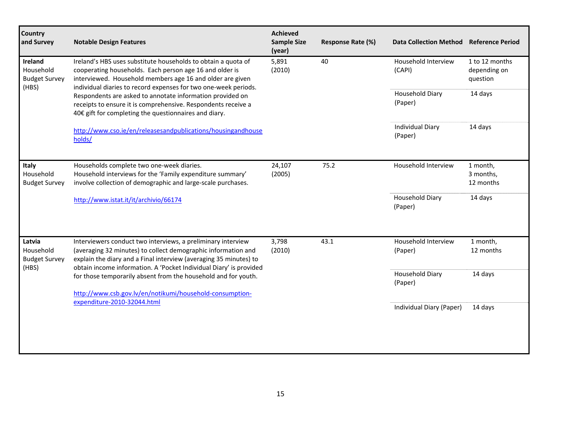| Country<br>and Survey                                 | <b>Notable Design Features</b>                                                                                                                                                                                                                                           | <b>Achieved</b><br><b>Sample Size</b><br>(year) | Response Rate (%) | Data Collection Method Reference Period |                                            |
|-------------------------------------------------------|--------------------------------------------------------------------------------------------------------------------------------------------------------------------------------------------------------------------------------------------------------------------------|-------------------------------------------------|-------------------|-----------------------------------------|--------------------------------------------|
| Ireland<br>Household<br><b>Budget Survey</b><br>(HBS) | Ireland's HBS uses substitute households to obtain a quota of<br>cooperating households. Each person age 16 and older is<br>interviewed. Household members age 16 and older are given<br>individual diaries to record expenses for two one-week periods.                 | 5,891<br>(2010)                                 | 40                | Household Interview<br>(CAPI)           | 1 to 12 months<br>depending on<br>question |
|                                                       | Respondents are asked to annotate information provided on<br>receipts to ensure it is comprehensive. Respondents receive a<br>40€ gift for completing the questionnaires and diary.                                                                                      |                                                 |                   | Household Diary<br>(Paper)              | 14 days                                    |
|                                                       | http://www.cso.ie/en/releasesandpublications/housingandhouse<br>holds/                                                                                                                                                                                                   |                                                 |                   | <b>Individual Diary</b><br>(Paper)      | 14 days                                    |
| Italy<br>Household<br><b>Budget Survey</b>            | Households complete two one-week diaries.<br>Household interviews for the 'Family expenditure summary'<br>involve collection of demographic and large-scale purchases.                                                                                                   | 24,107<br>(2005)                                | 75.2              | Household Interview                     | 1 month,<br>3 months,<br>12 months         |
|                                                       | http://www.istat.it/it/archivio/66174                                                                                                                                                                                                                                    |                                                 |                   | Household Diary<br>(Paper)              | 14 days                                    |
| Latvia<br>Household<br><b>Budget Survey</b><br>(HBS)  | Interviewers conduct two interviews, a preliminary interview<br>(averaging 32 minutes) to collect demographic information and<br>explain the diary and a Final interview (averaging 35 minutes) to<br>obtain income information. A 'Pocket Individual Diary' is provided | 3,798<br>(2010)                                 | 43.1              | Household Interview<br>(Paper)          | 1 month,<br>12 months                      |
|                                                       | for those temporarily absent from the household and for youth.                                                                                                                                                                                                           |                                                 |                   | Household Diary<br>(Paper)              | 14 days                                    |
|                                                       | http://www.csb.gov.lv/en/notikumi/household-consumption-<br>expenditure-2010-32044.html                                                                                                                                                                                  |                                                 |                   | Individual Diary (Paper)                | 14 days                                    |
|                                                       |                                                                                                                                                                                                                                                                          |                                                 |                   |                                         |                                            |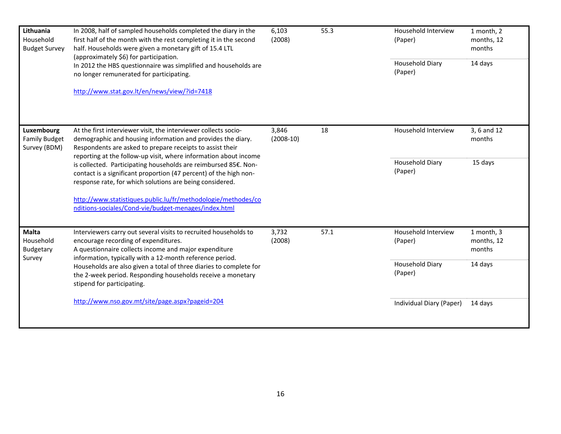| Lithuania<br>Household<br><b>Budget Survey</b>     | In 2008, half of sampled households completed the diary in the<br>first half of the month with the rest completing it in the second<br>half. Households were given a monetary gift of 15.4 LTL                                                                                                                                                                                                   | 6,103<br>(2008)      | 55.3 | Household Interview<br>(Paper) | 1 month, 2<br>months, 12<br>months |
|----------------------------------------------------|--------------------------------------------------------------------------------------------------------------------------------------------------------------------------------------------------------------------------------------------------------------------------------------------------------------------------------------------------------------------------------------------------|----------------------|------|--------------------------------|------------------------------------|
|                                                    | (approximately \$6) for participation.<br>In 2012 the HBS questionnaire was simplified and households are<br>no longer remunerated for participating.                                                                                                                                                                                                                                            |                      |      | Household Diary<br>(Paper)     | 14 days                            |
|                                                    | http://www.stat.gov.lt/en/news/view/?id=7418                                                                                                                                                                                                                                                                                                                                                     |                      |      |                                |                                    |
| Luxembourg<br><b>Family Budget</b><br>Survey (BDM) | At the first interviewer visit, the interviewer collects socio-<br>demographic and housing information and provides the diary.<br>Respondents are asked to prepare receipts to assist their<br>reporting at the follow-up visit, where information about income                                                                                                                                  | 3,846<br>$(2008-10)$ | 18   | Household Interview            | 3, 6 and 12<br>months              |
|                                                    | is collected. Participating households are reimbursed 85€. Non-<br>contact is a significant proportion (47 percent) of the high non-<br>response rate, for which solutions are being considered.                                                                                                                                                                                                 |                      |      | Household Diary<br>(Paper)     | 15 days                            |
|                                                    | http://www.statistiques.public.lu/fr/methodologie/methodes/co<br>nditions-sociales/Cond-vie/budget-menages/index.html                                                                                                                                                                                                                                                                            |                      |      |                                |                                    |
| <b>Malta</b><br>Household<br>Budgetary<br>Survey   | Interviewers carry out several visits to recruited households to<br>encourage recording of expenditures.<br>A questionnaire collects income and major expenditure<br>information, typically with a 12-month reference period.<br>Households are also given a total of three diaries to complete for<br>the 2-week period. Responding households receive a monetary<br>stipend for participating. | 3,732<br>(2008)      | 57.1 | Household Interview<br>(Paper) | 1 month, 3<br>months, 12<br>months |
|                                                    |                                                                                                                                                                                                                                                                                                                                                                                                  |                      |      | Household Diary<br>(Paper)     | 14 days                            |
|                                                    | http://www.nso.gov.mt/site/page.aspx?pageid=204                                                                                                                                                                                                                                                                                                                                                  |                      |      | Individual Diary (Paper)       | 14 days                            |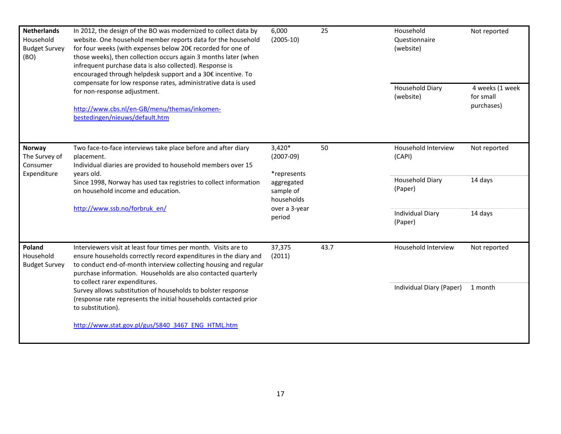| <b>Netherlands</b><br>Household<br><b>Budget Survey</b><br>for four weeks (with expenses below 20€ recorded for one of<br>(BO)<br>infrequent purchase data is also collected). Response is<br>compensate for low response rates, administrative data is used<br>for non-response adjustment.<br>http://www.cbs.nl/en-GB/menu/themas/inkomen-<br>bestedingen/nieuws/default.htm | In 2012, the design of the BO was modernized to collect data by<br>website. One household member reports data for the household<br>those weeks), then collection occurs again 3 months later (when<br>encouraged through helpdesk support and a 30€ incentive. To                                                                                                                                                                                                   | 6,000<br>$(2005-10)$                                             | 25   | Household<br>Questionnaire<br>(website) | Not reported                               |
|--------------------------------------------------------------------------------------------------------------------------------------------------------------------------------------------------------------------------------------------------------------------------------------------------------------------------------------------------------------------------------|---------------------------------------------------------------------------------------------------------------------------------------------------------------------------------------------------------------------------------------------------------------------------------------------------------------------------------------------------------------------------------------------------------------------------------------------------------------------|------------------------------------------------------------------|------|-----------------------------------------|--------------------------------------------|
|                                                                                                                                                                                                                                                                                                                                                                                |                                                                                                                                                                                                                                                                                                                                                                                                                                                                     |                                                                  |      | Household Diary<br>(website)            | 4 weeks (1 week<br>for small<br>purchases) |
| Norway<br>The Survey of<br>Consumer<br>Expenditure                                                                                                                                                                                                                                                                                                                             | Two face-to-face interviews take place before and after diary<br>placement.<br>Individual diaries are provided to household members over 15<br>vears old.                                                                                                                                                                                                                                                                                                           | $3,420*$<br>$(2007-09)$<br>*represents                           | 50   | Household Interview<br>(CAPI)           | Not reported                               |
|                                                                                                                                                                                                                                                                                                                                                                                | Since 1998, Norway has used tax registries to collect information<br>on household income and education.                                                                                                                                                                                                                                                                                                                                                             | aggregated<br>sample of<br>households<br>over a 3-year<br>period |      | Household Diary<br>(Paper)              | 14 days                                    |
|                                                                                                                                                                                                                                                                                                                                                                                | http://www.ssb.no/forbruk_en/                                                                                                                                                                                                                                                                                                                                                                                                                                       |                                                                  |      | <b>Individual Diary</b><br>(Paper)      | 14 days                                    |
| Poland<br>Household<br><b>Budget Survey</b>                                                                                                                                                                                                                                                                                                                                    | Interviewers visit at least four times per month. Visits are to<br>ensure households correctly record expenditures in the diary and<br>to conduct end-of-month interview collecting housing and regular<br>purchase information. Households are also contacted quarterly<br>to collect rarer expenditures.<br>Survey allows substitution of households to bolster response<br>(response rate represents the initial households contacted prior<br>to substitution). | 37,375<br>(2011)                                                 | 43.7 | Household Interview                     | Not reported                               |
|                                                                                                                                                                                                                                                                                                                                                                                |                                                                                                                                                                                                                                                                                                                                                                                                                                                                     |                                                                  |      | Individual Diary (Paper)                | 1 month                                    |
|                                                                                                                                                                                                                                                                                                                                                                                | http://www.stat.gov.pl/gus/5840 3467 ENG HTML.htm                                                                                                                                                                                                                                                                                                                                                                                                                   |                                                                  |      |                                         |                                            |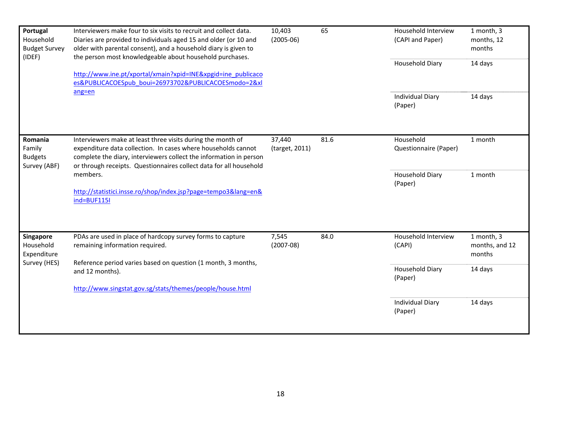| Portugal<br>Household<br><b>Budget Survey</b><br>(IDEF) | Interviewers make four to six visits to recruit and collect data.<br>Diaries are provided to individuals aged 15 and older (or 10 and<br>older with parental consent), and a household diary is given to<br>the person most knowledgeable about household purchases.                                                                                              | 10,403<br>$(2005-06)$    | 65   | Household Interview<br>(CAPI and Paper)<br>Household Diary | 1 month, 3<br>months, 12<br>months<br>14 days |
|---------------------------------------------------------|-------------------------------------------------------------------------------------------------------------------------------------------------------------------------------------------------------------------------------------------------------------------------------------------------------------------------------------------------------------------|--------------------------|------|------------------------------------------------------------|-----------------------------------------------|
|                                                         | http://www.ine.pt/xportal/xmain?xpid=INE&xpgid=ine_publicaco<br>es&PUBLICACOESpub boui=26973702&PUBLICACOESmodo=2&xl                                                                                                                                                                                                                                              |                          |      |                                                            |                                               |
|                                                         | ang=en                                                                                                                                                                                                                                                                                                                                                            |                          |      | <b>Individual Diary</b><br>(Paper)                         | 14 days                                       |
| Romania<br>Family<br><b>Budgets</b><br>Survey (ABF)     | Interviewers make at least three visits during the month of<br>expenditure data collection. In cases where households cannot<br>complete the diary, interviewers collect the information in person<br>or through receipts. Questionnaires collect data for all household<br>members.<br>http://statistici.insse.ro/shop/index.jsp?page=tempo3⟨=en&<br>ind=BUF115I | 37,440<br>(target, 2011) | 81.6 | Household<br>Questionnaire (Paper)                         | 1 month                                       |
|                                                         |                                                                                                                                                                                                                                                                                                                                                                   |                          |      | Household Diary<br>(Paper)                                 | 1 month                                       |
| <b>Singapore</b><br>Household<br>Expenditure            | PDAs are used in place of hardcopy survey forms to capture<br>remaining information required.<br>Reference period varies based on question (1 month, 3 months,                                                                                                                                                                                                    | 7,545<br>$(2007-08)$     | 84.0 | Household Interview<br>(CAPI)                              | 1 month, 3<br>months, and 12<br>months        |
| Survey (HES)                                            | and 12 months).<br>http://www.singstat.gov.sg/stats/themes/people/house.html                                                                                                                                                                                                                                                                                      |                          |      | Household Diary<br>(Paper)                                 | 14 days                                       |
|                                                         |                                                                                                                                                                                                                                                                                                                                                                   |                          |      | <b>Individual Diary</b><br>(Paper)                         | 14 days                                       |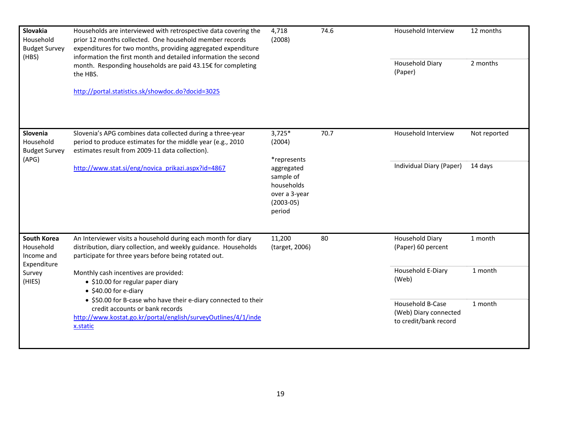| Slovakia<br>Household<br><b>Budget Survey</b>                | Households are interviewed with retrospective data covering the<br>prior 12 months collected. One household member records<br>expenditures for two months, providing aggregated expenditure | 4,718<br>(2008)                                                                 | 74.6 | Household Interview        | 12 months                             |                                                                    |
|--------------------------------------------------------------|---------------------------------------------------------------------------------------------------------------------------------------------------------------------------------------------|---------------------------------------------------------------------------------|------|----------------------------|---------------------------------------|--------------------------------------------------------------------|
| (HBS)                                                        | information the first month and detailed information the second<br>month. Responding households are paid 43.15€ for completing<br>the HBS.                                                  |                                                                                 |      | Household Diary<br>(Paper) | 2 months                              |                                                                    |
|                                                              | http://portal.statistics.sk/showdoc.do?docid=3025                                                                                                                                           |                                                                                 |      |                            |                                       |                                                                    |
| Slovenia<br>Household<br><b>Budget Survey</b><br>(APG)       | Slovenia's APG combines data collected during a three-year<br>period to produce estimates for the middle year (e.g., 2010<br>estimates result from 2009-11 data collection).                | $3,725*$<br>(2004)<br>*represents                                               | 70.7 | Household Interview        | Not reported                          |                                                                    |
|                                                              | http://www.stat.si/eng/novica prikazi.aspx?id=4867                                                                                                                                          | aggregated<br>sample of<br>households<br>over a 3-year<br>$(2003-05)$<br>period |      | Individual Diary (Paper)   | 14 days                               |                                                                    |
| <b>South Korea</b><br>Household<br>Income and<br>Expenditure | An Interviewer visits a household during each month for diary<br>distribution, diary collection, and weekly guidance. Households<br>participate for three years before being rotated out.   | 11,200<br>(target, 2006)                                                        | 80   |                            | Household Diary<br>(Paper) 60 percent | 1 month                                                            |
| Survey<br>(HIES)                                             | Monthly cash incentives are provided:<br>• \$10.00 for regular paper diary<br>• \$40.00 for e-diary                                                                                         |                                                                                 |      | Household E-Diary<br>(Web) | 1 month                               |                                                                    |
|                                                              | • \$50.00 for B-case who have their e-diary connected to their<br>credit accounts or bank records<br>http://www.kostat.go.kr/portal/english/surveyOutlines/4/1/inde<br>x.static             |                                                                                 |      |                            |                                       | Household B-Case<br>(Web) Diary connected<br>to credit/bank record |